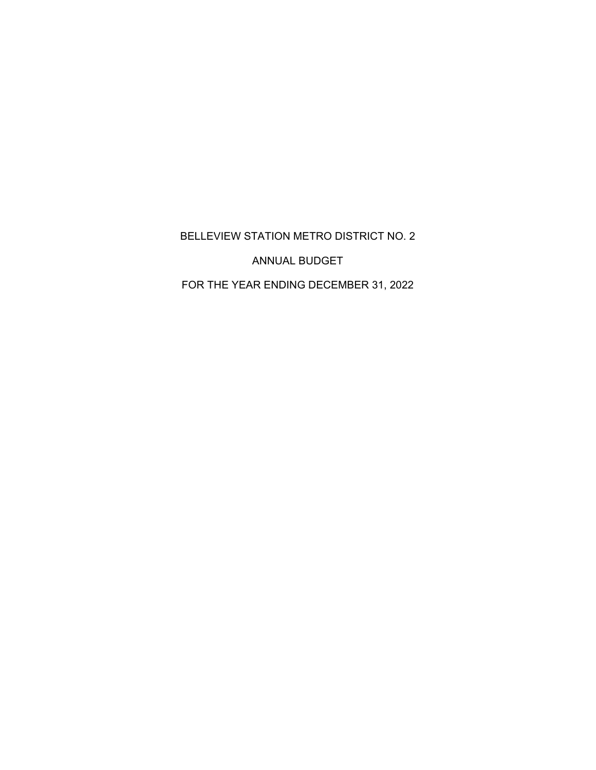BELLEVIEW STATION METRO DISTRICT NO. 2

ANNUAL BUDGET

FOR THE YEAR ENDING DECEMBER 31, 2022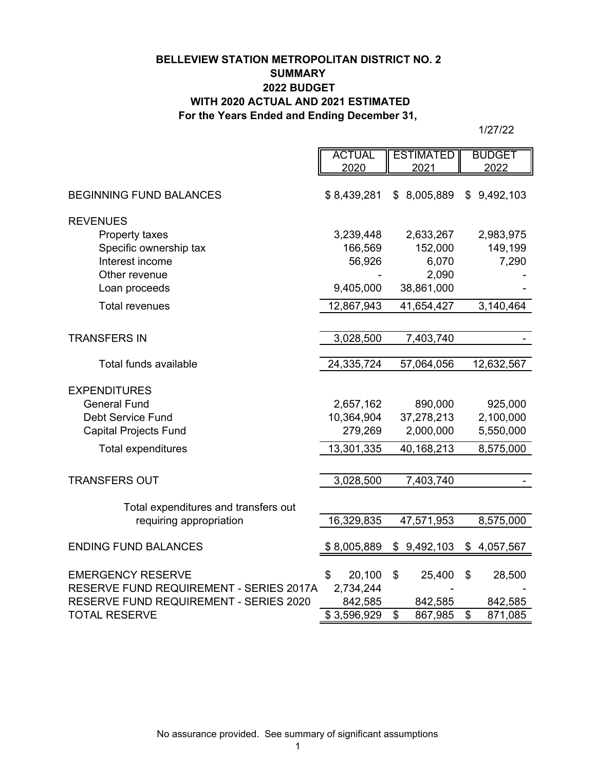# **BELLEVIEW STATION METROPOLITAN DISTRICT NO. 2 SUMMARY 2022 BUDGET WITH 2020 ACTUAL AND 2021 ESTIMATED For the Years Ended and Ending December 31,**

|                                                                                   | <b>ACTUAL</b>        | <b>ESTIMATED</b> | <b>BUDGET</b>   |
|-----------------------------------------------------------------------------------|----------------------|------------------|-----------------|
|                                                                                   | 2020                 | 2021             | 2022            |
| <b>BEGINNING FUND BALANCES</b>                                                    | \$8,439,281          | 8,005,889<br>\$  | \$9,492,103     |
| <b>REVENUES</b>                                                                   |                      |                  |                 |
| Property taxes                                                                    | 3,239,448            | 2,633,267        | 2,983,975       |
| Specific ownership tax                                                            | 166,569              | 152,000          | 149,199         |
| Interest income                                                                   | 56,926               | 6,070            | 7,290           |
| Other revenue                                                                     |                      | 2,090            |                 |
| Loan proceeds                                                                     | 9,405,000            | 38,861,000       |                 |
| <b>Total revenues</b>                                                             | 12,867,943           | 41,654,427       | 3,140,464       |
|                                                                                   |                      |                  |                 |
| <b>TRANSFERS IN</b>                                                               | 3,028,500            | 7,403,740        |                 |
|                                                                                   |                      |                  |                 |
| Total funds available                                                             | 24,335,724           | 57,064,056       | 12,632,567      |
| <b>EXPENDITURES</b>                                                               |                      |                  |                 |
| <b>General Fund</b>                                                               | 2,657,162            | 890,000          | 925,000         |
| <b>Debt Service Fund</b>                                                          | 10,364,904           | 37,278,213       | 2,100,000       |
| <b>Capital Projects Fund</b>                                                      | 279,269              | 2,000,000        | 5,550,000       |
| <b>Total expenditures</b>                                                         | 13,301,335           | 40,168,213       | 8,575,000       |
|                                                                                   |                      |                  |                 |
| <b>TRANSFERS OUT</b>                                                              | 3,028,500            | 7,403,740        |                 |
|                                                                                   |                      |                  |                 |
| Total expenditures and transfers out                                              |                      |                  |                 |
| requiring appropriation                                                           | 16,329,835           | 47,571,953       | 8,575,000       |
| <b>ENDING FUND BALANCES</b>                                                       | \$8,005,889          | \$9,492,103      | 4,057,567<br>\$ |
|                                                                                   |                      |                  |                 |
| <b>EMERGENCY RESERVE</b>                                                          | \$<br>20,100         | \$<br>25,400     | \$<br>28,500    |
| RESERVE FUND REQUIREMENT - SERIES 2017A<br>RESERVE FUND REQUIREMENT - SERIES 2020 | 2,734,244<br>842,585 | 842,585          | 842,585         |
| <b>TOTAL RESERVE</b>                                                              | \$3,596,929          | \$<br>867,985    | \$<br>871,085   |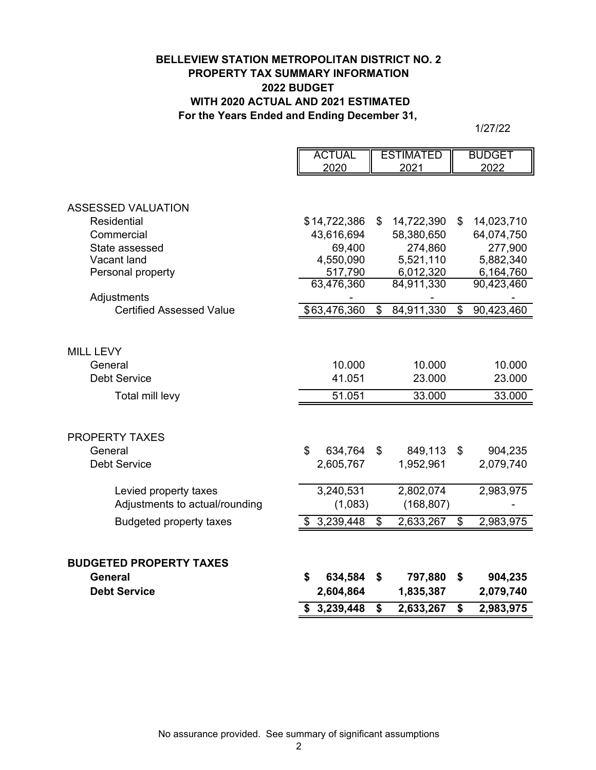# **BELLEVIEW STATION METROPOLITAN DISTRICT NO. 2 PROPERTY TAX SUMMARY INFORMATION 2022 BUDGET WITH 2020 ACTUAL AND 2021 ESTIMATED For the Years Ended and Ending December 31,**

|                                 |                | <b>ACTUAL</b> | <b>ESTIMATED</b> | <b>BUDGET</b>    |
|---------------------------------|----------------|---------------|------------------|------------------|
|                                 |                | 2020          | 2021             | 2022             |
|                                 |                |               |                  |                  |
| <b>ASSESSED VALUATION</b>       |                |               |                  |                  |
| <b>Residential</b>              |                | \$14,722,386  | \$<br>14,722,390 | \$<br>14,023,710 |
| Commercial                      |                | 43,616,694    | 58,380,650       | 64,074,750       |
| State assessed                  |                | 69,400        | 274,860          | 277,900          |
| Vacant land                     |                | 4,550,090     | 5,521,110        | 5,882,340        |
| Personal property               |                | 517,790       | 6,012,320        | 6,164,760        |
|                                 |                | 63,476,360    | 84,911,330       | 90,423,460       |
| Adjustments                     |                |               |                  |                  |
| <b>Certified Assessed Value</b> |                | \$63,476,360  | \$<br>84,911,330 | \$<br>90,423,460 |
|                                 |                |               |                  |                  |
|                                 |                |               |                  |                  |
| MILL LEVY                       |                |               |                  |                  |
| General                         |                | 10.000        | 10.000           | 10.000           |
| <b>Debt Service</b>             |                | 41.051        | 23.000           | 23.000           |
| Total mill levy                 |                | 51.051        | 33.000           | 33.000           |
|                                 |                |               |                  |                  |
|                                 |                |               |                  |                  |
| <b>PROPERTY TAXES</b>           |                |               |                  |                  |
| General                         | $\mathfrak{L}$ | 634,764       | \$<br>849,113    | \$<br>904,235    |
| <b>Debt Service</b>             |                | 2,605,767     | 1,952,961        | 2,079,740        |
| Levied property taxes           |                | 3,240,531     | 2,802,074        | 2,983,975        |
| Adjustments to actual/rounding  |                | (1,083)       | (168, 807)       |                  |
|                                 |                |               |                  |                  |
| <b>Budgeted property taxes</b>  |                | \$3,239,448   | \$<br>2,633,267  | \$<br>2,983,975  |
|                                 |                |               |                  |                  |
| <b>BUDGETED PROPERTY TAXES</b>  |                |               |                  |                  |
| <b>General</b>                  | \$             | 634,584       | \$<br>797,880    | \$<br>904,235    |
| <b>Debt Service</b>             |                | 2,604,864     | 1,835,387        | 2,079,740        |
|                                 |                | \$3,239,448   | \$<br>2,633,267  | \$<br>2,983,975  |
|                                 |                |               |                  |                  |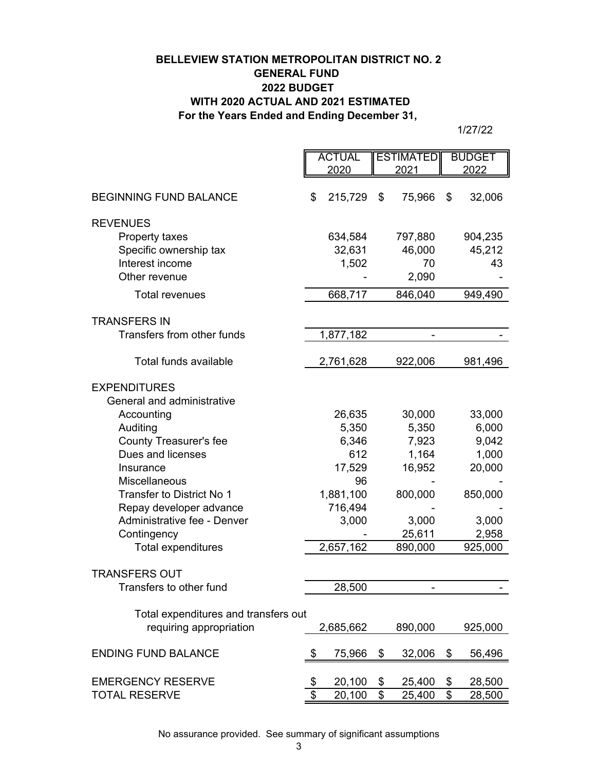# **For the Years Ended and Ending December 31, BELLEVIEW STATION METROPOLITAN DISTRICT NO. 2 GENERAL FUND 2022 BUDGET WITH 2020 ACTUAL AND 2021 ESTIMATED**

1/27/22

|                                      | <b>ACTUAL</b>           |           | <b>ESTIMATED</b> |         | <b>BUDGET</b> |         |
|--------------------------------------|-------------------------|-----------|------------------|---------|---------------|---------|
|                                      |                         | 2020      |                  | 2021    |               | 2022    |
| <b>BEGINNING FUND BALANCE</b>        | \$                      | 215,729   | \$               | 75,966  | \$            | 32,006  |
| <b>REVENUES</b>                      |                         |           |                  |         |               |         |
| Property taxes                       |                         | 634,584   |                  | 797,880 |               | 904,235 |
| Specific ownership tax               |                         | 32,631    |                  | 46,000  |               | 45,212  |
| Interest income                      |                         | 1,502     |                  | 70      |               | 43      |
| Other revenue                        |                         |           |                  | 2,090   |               |         |
| <b>Total revenues</b>                |                         |           |                  |         |               |         |
|                                      |                         | 668,717   |                  | 846,040 |               | 949,490 |
| <b>TRANSFERS IN</b>                  |                         |           |                  |         |               |         |
| Transfers from other funds           |                         | 1,877,182 |                  |         |               |         |
|                                      |                         |           |                  |         |               |         |
| Total funds available                |                         | 2,761,628 |                  | 922,006 |               | 981,496 |
|                                      |                         |           |                  |         |               |         |
| <b>EXPENDITURES</b>                  |                         |           |                  |         |               |         |
| General and administrative           |                         |           |                  |         |               |         |
| Accounting                           |                         | 26,635    |                  | 30,000  |               | 33,000  |
| Auditing                             |                         | 5,350     |                  | 5,350   |               | 6,000   |
| <b>County Treasurer's fee</b>        |                         | 6,346     |                  | 7,923   |               | 9,042   |
| Dues and licenses                    |                         | 612       |                  | 1,164   |               | 1,000   |
| Insurance                            |                         | 17,529    |                  | 16,952  |               | 20,000  |
| <b>Miscellaneous</b>                 |                         | 96        |                  |         |               |         |
| Transfer to District No 1            |                         | 1,881,100 |                  | 800,000 |               | 850,000 |
| Repay developer advance              |                         | 716,494   |                  |         |               |         |
| Administrative fee - Denver          |                         | 3,000     |                  | 3,000   |               | 3,000   |
| Contingency                          |                         |           |                  | 25,611  |               | 2,958   |
| <b>Total expenditures</b>            |                         | 2,657,162 |                  | 890,000 |               | 925,000 |
|                                      |                         |           |                  |         |               |         |
| <b>TRANSFERS OUT</b>                 |                         |           |                  |         |               |         |
| Transfers to other fund              |                         | 28,500    |                  |         |               |         |
| Total expenditures and transfers out |                         |           |                  |         |               |         |
| requiring appropriation              |                         |           |                  | 890,000 |               |         |
|                                      |                         | 2,685,662 |                  |         |               | 925,000 |
| <b>ENDING FUND BALANCE</b>           | \$                      | 75,966    | \$               | 32,006  | \$            | 56,496  |
|                                      |                         |           |                  |         |               |         |
| <b>EMERGENCY RESERVE</b>             | \$                      | 20,100    | \$               | 25,400  | \$            | 28,500  |
| <b>TOTAL RESERVE</b>                 | $\overline{\mathbf{S}}$ | 20,100    | $\overline{\$}$  | 25,400  | \$            | 28,500  |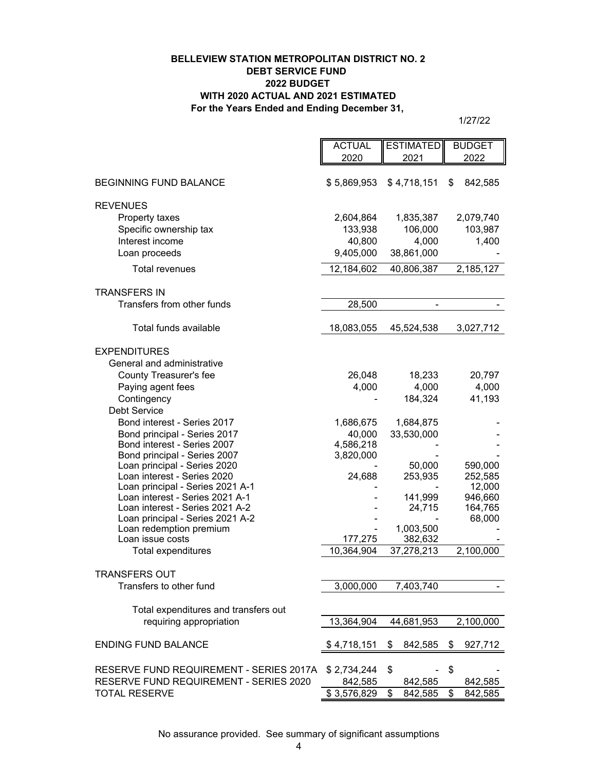#### **BELLEVIEW STATION METROPOLITAN DISTRICT NO. 2 DEBT SERVICE FUND 2022 BUDGET WITH 2020 ACTUAL AND 2021 ESTIMATED For the Years Ended and Ending December 31,**

| 2020<br>2021<br>2022<br>\$5,869,953<br>\$4,718,151<br><b>BEGINNING FUND BALANCE</b><br>\$<br>842,585<br><b>REVENUES</b><br>2,079,740<br>Property taxes<br>2,604,864<br>1,835,387<br>Specific ownership tax<br>106,000<br>103,987<br>133,938<br>Interest income<br>40,800<br>4,000<br>1,400<br>9,405,000<br>38,861,000<br>Loan proceeds<br><b>Total revenues</b><br>12,184,602<br>2,185,127<br>40,806,387<br><b>TRANSFERS IN</b><br>Transfers from other funds<br>28,500<br>Total funds available<br>18,083,055<br>45,524,538<br>3,027,712<br><b>EXPENDITURES</b><br>General and administrative<br>County Treasurer's fee<br>26,048<br>18,233<br>20,797<br>Paying agent fees<br>4,000<br>4,000<br>4,000<br>Contingency<br>184,324<br>41,193<br><b>Debt Service</b><br>Bond interest - Series 2017<br>1,684,875<br>1,686,675<br>Bond principal - Series 2017<br>40,000<br>33,530,000<br>Bond interest - Series 2007<br>4,586,218<br>Bond principal - Series 2007<br>3,820,000<br>Loan principal - Series 2020<br>50,000<br>590,000<br>Loan interest - Series 2020<br>24,688<br>253,935<br>252,585<br>Loan principal - Series 2021 A-1<br>12,000<br>Loan interest - Series 2021 A-1<br>141,999<br>946,660<br>Loan interest - Series 2021 A-2<br>164,765<br>24,715<br>Loan principal - Series 2021 A-2<br>68,000<br>1,003,500<br>Loan redemption premium<br>Loan issue costs<br>177,275<br>382,632<br>2,100,000<br>37,278,213<br>Total expenditures<br>10,364,904<br><b>TRANSFERS OUT</b><br>Transfers to other fund<br>3,000,000<br>7,403,740<br>Total expenditures and transfers out<br>requiring appropriation<br>13,364,904<br>44,681,953<br>2,100,000<br><b>ENDING FUND BALANCE</b><br>\$<br>842,585<br>\$4,718,151<br>\$<br>927,712 | <b>ACTUAL</b> | <b>ESTIMATED</b> | <b>BUDGET</b> |
|---------------------------------------------------------------------------------------------------------------------------------------------------------------------------------------------------------------------------------------------------------------------------------------------------------------------------------------------------------------------------------------------------------------------------------------------------------------------------------------------------------------------------------------------------------------------------------------------------------------------------------------------------------------------------------------------------------------------------------------------------------------------------------------------------------------------------------------------------------------------------------------------------------------------------------------------------------------------------------------------------------------------------------------------------------------------------------------------------------------------------------------------------------------------------------------------------------------------------------------------------------------------------------------------------------------------------------------------------------------------------------------------------------------------------------------------------------------------------------------------------------------------------------------------------------------------------------------------------------------------------------------------------------------------------------------------------------------------------------------|---------------|------------------|---------------|
|                                                                                                                                                                                                                                                                                                                                                                                                                                                                                                                                                                                                                                                                                                                                                                                                                                                                                                                                                                                                                                                                                                                                                                                                                                                                                                                                                                                                                                                                                                                                                                                                                                                                                                                                       |               |                  |               |
|                                                                                                                                                                                                                                                                                                                                                                                                                                                                                                                                                                                                                                                                                                                                                                                                                                                                                                                                                                                                                                                                                                                                                                                                                                                                                                                                                                                                                                                                                                                                                                                                                                                                                                                                       |               |                  |               |
|                                                                                                                                                                                                                                                                                                                                                                                                                                                                                                                                                                                                                                                                                                                                                                                                                                                                                                                                                                                                                                                                                                                                                                                                                                                                                                                                                                                                                                                                                                                                                                                                                                                                                                                                       |               |                  |               |
|                                                                                                                                                                                                                                                                                                                                                                                                                                                                                                                                                                                                                                                                                                                                                                                                                                                                                                                                                                                                                                                                                                                                                                                                                                                                                                                                                                                                                                                                                                                                                                                                                                                                                                                                       |               |                  |               |
|                                                                                                                                                                                                                                                                                                                                                                                                                                                                                                                                                                                                                                                                                                                                                                                                                                                                                                                                                                                                                                                                                                                                                                                                                                                                                                                                                                                                                                                                                                                                                                                                                                                                                                                                       |               |                  |               |
|                                                                                                                                                                                                                                                                                                                                                                                                                                                                                                                                                                                                                                                                                                                                                                                                                                                                                                                                                                                                                                                                                                                                                                                                                                                                                                                                                                                                                                                                                                                                                                                                                                                                                                                                       |               |                  |               |
|                                                                                                                                                                                                                                                                                                                                                                                                                                                                                                                                                                                                                                                                                                                                                                                                                                                                                                                                                                                                                                                                                                                                                                                                                                                                                                                                                                                                                                                                                                                                                                                                                                                                                                                                       |               |                  |               |
|                                                                                                                                                                                                                                                                                                                                                                                                                                                                                                                                                                                                                                                                                                                                                                                                                                                                                                                                                                                                                                                                                                                                                                                                                                                                                                                                                                                                                                                                                                                                                                                                                                                                                                                                       |               |                  |               |
|                                                                                                                                                                                                                                                                                                                                                                                                                                                                                                                                                                                                                                                                                                                                                                                                                                                                                                                                                                                                                                                                                                                                                                                                                                                                                                                                                                                                                                                                                                                                                                                                                                                                                                                                       |               |                  |               |
|                                                                                                                                                                                                                                                                                                                                                                                                                                                                                                                                                                                                                                                                                                                                                                                                                                                                                                                                                                                                                                                                                                                                                                                                                                                                                                                                                                                                                                                                                                                                                                                                                                                                                                                                       |               |                  |               |
|                                                                                                                                                                                                                                                                                                                                                                                                                                                                                                                                                                                                                                                                                                                                                                                                                                                                                                                                                                                                                                                                                                                                                                                                                                                                                                                                                                                                                                                                                                                                                                                                                                                                                                                                       |               |                  |               |
|                                                                                                                                                                                                                                                                                                                                                                                                                                                                                                                                                                                                                                                                                                                                                                                                                                                                                                                                                                                                                                                                                                                                                                                                                                                                                                                                                                                                                                                                                                                                                                                                                                                                                                                                       |               |                  |               |
|                                                                                                                                                                                                                                                                                                                                                                                                                                                                                                                                                                                                                                                                                                                                                                                                                                                                                                                                                                                                                                                                                                                                                                                                                                                                                                                                                                                                                                                                                                                                                                                                                                                                                                                                       |               |                  |               |
|                                                                                                                                                                                                                                                                                                                                                                                                                                                                                                                                                                                                                                                                                                                                                                                                                                                                                                                                                                                                                                                                                                                                                                                                                                                                                                                                                                                                                                                                                                                                                                                                                                                                                                                                       |               |                  |               |
|                                                                                                                                                                                                                                                                                                                                                                                                                                                                                                                                                                                                                                                                                                                                                                                                                                                                                                                                                                                                                                                                                                                                                                                                                                                                                                                                                                                                                                                                                                                                                                                                                                                                                                                                       |               |                  |               |
|                                                                                                                                                                                                                                                                                                                                                                                                                                                                                                                                                                                                                                                                                                                                                                                                                                                                                                                                                                                                                                                                                                                                                                                                                                                                                                                                                                                                                                                                                                                                                                                                                                                                                                                                       |               |                  |               |
|                                                                                                                                                                                                                                                                                                                                                                                                                                                                                                                                                                                                                                                                                                                                                                                                                                                                                                                                                                                                                                                                                                                                                                                                                                                                                                                                                                                                                                                                                                                                                                                                                                                                                                                                       |               |                  |               |
|                                                                                                                                                                                                                                                                                                                                                                                                                                                                                                                                                                                                                                                                                                                                                                                                                                                                                                                                                                                                                                                                                                                                                                                                                                                                                                                                                                                                                                                                                                                                                                                                                                                                                                                                       |               |                  |               |
|                                                                                                                                                                                                                                                                                                                                                                                                                                                                                                                                                                                                                                                                                                                                                                                                                                                                                                                                                                                                                                                                                                                                                                                                                                                                                                                                                                                                                                                                                                                                                                                                                                                                                                                                       |               |                  |               |
|                                                                                                                                                                                                                                                                                                                                                                                                                                                                                                                                                                                                                                                                                                                                                                                                                                                                                                                                                                                                                                                                                                                                                                                                                                                                                                                                                                                                                                                                                                                                                                                                                                                                                                                                       |               |                  |               |
|                                                                                                                                                                                                                                                                                                                                                                                                                                                                                                                                                                                                                                                                                                                                                                                                                                                                                                                                                                                                                                                                                                                                                                                                                                                                                                                                                                                                                                                                                                                                                                                                                                                                                                                                       |               |                  |               |
|                                                                                                                                                                                                                                                                                                                                                                                                                                                                                                                                                                                                                                                                                                                                                                                                                                                                                                                                                                                                                                                                                                                                                                                                                                                                                                                                                                                                                                                                                                                                                                                                                                                                                                                                       |               |                  |               |
|                                                                                                                                                                                                                                                                                                                                                                                                                                                                                                                                                                                                                                                                                                                                                                                                                                                                                                                                                                                                                                                                                                                                                                                                                                                                                                                                                                                                                                                                                                                                                                                                                                                                                                                                       |               |                  |               |
|                                                                                                                                                                                                                                                                                                                                                                                                                                                                                                                                                                                                                                                                                                                                                                                                                                                                                                                                                                                                                                                                                                                                                                                                                                                                                                                                                                                                                                                                                                                                                                                                                                                                                                                                       |               |                  |               |
|                                                                                                                                                                                                                                                                                                                                                                                                                                                                                                                                                                                                                                                                                                                                                                                                                                                                                                                                                                                                                                                                                                                                                                                                                                                                                                                                                                                                                                                                                                                                                                                                                                                                                                                                       |               |                  |               |
|                                                                                                                                                                                                                                                                                                                                                                                                                                                                                                                                                                                                                                                                                                                                                                                                                                                                                                                                                                                                                                                                                                                                                                                                                                                                                                                                                                                                                                                                                                                                                                                                                                                                                                                                       |               |                  |               |
|                                                                                                                                                                                                                                                                                                                                                                                                                                                                                                                                                                                                                                                                                                                                                                                                                                                                                                                                                                                                                                                                                                                                                                                                                                                                                                                                                                                                                                                                                                                                                                                                                                                                                                                                       |               |                  |               |
|                                                                                                                                                                                                                                                                                                                                                                                                                                                                                                                                                                                                                                                                                                                                                                                                                                                                                                                                                                                                                                                                                                                                                                                                                                                                                                                                                                                                                                                                                                                                                                                                                                                                                                                                       |               |                  |               |
|                                                                                                                                                                                                                                                                                                                                                                                                                                                                                                                                                                                                                                                                                                                                                                                                                                                                                                                                                                                                                                                                                                                                                                                                                                                                                                                                                                                                                                                                                                                                                                                                                                                                                                                                       |               |                  |               |
|                                                                                                                                                                                                                                                                                                                                                                                                                                                                                                                                                                                                                                                                                                                                                                                                                                                                                                                                                                                                                                                                                                                                                                                                                                                                                                                                                                                                                                                                                                                                                                                                                                                                                                                                       |               |                  |               |
|                                                                                                                                                                                                                                                                                                                                                                                                                                                                                                                                                                                                                                                                                                                                                                                                                                                                                                                                                                                                                                                                                                                                                                                                                                                                                                                                                                                                                                                                                                                                                                                                                                                                                                                                       |               |                  |               |
|                                                                                                                                                                                                                                                                                                                                                                                                                                                                                                                                                                                                                                                                                                                                                                                                                                                                                                                                                                                                                                                                                                                                                                                                                                                                                                                                                                                                                                                                                                                                                                                                                                                                                                                                       |               |                  |               |
|                                                                                                                                                                                                                                                                                                                                                                                                                                                                                                                                                                                                                                                                                                                                                                                                                                                                                                                                                                                                                                                                                                                                                                                                                                                                                                                                                                                                                                                                                                                                                                                                                                                                                                                                       |               |                  |               |
|                                                                                                                                                                                                                                                                                                                                                                                                                                                                                                                                                                                                                                                                                                                                                                                                                                                                                                                                                                                                                                                                                                                                                                                                                                                                                                                                                                                                                                                                                                                                                                                                                                                                                                                                       |               |                  |               |
|                                                                                                                                                                                                                                                                                                                                                                                                                                                                                                                                                                                                                                                                                                                                                                                                                                                                                                                                                                                                                                                                                                                                                                                                                                                                                                                                                                                                                                                                                                                                                                                                                                                                                                                                       |               |                  |               |
|                                                                                                                                                                                                                                                                                                                                                                                                                                                                                                                                                                                                                                                                                                                                                                                                                                                                                                                                                                                                                                                                                                                                                                                                                                                                                                                                                                                                                                                                                                                                                                                                                                                                                                                                       |               |                  |               |
|                                                                                                                                                                                                                                                                                                                                                                                                                                                                                                                                                                                                                                                                                                                                                                                                                                                                                                                                                                                                                                                                                                                                                                                                                                                                                                                                                                                                                                                                                                                                                                                                                                                                                                                                       |               |                  |               |
|                                                                                                                                                                                                                                                                                                                                                                                                                                                                                                                                                                                                                                                                                                                                                                                                                                                                                                                                                                                                                                                                                                                                                                                                                                                                                                                                                                                                                                                                                                                                                                                                                                                                                                                                       |               |                  |               |
|                                                                                                                                                                                                                                                                                                                                                                                                                                                                                                                                                                                                                                                                                                                                                                                                                                                                                                                                                                                                                                                                                                                                                                                                                                                                                                                                                                                                                                                                                                                                                                                                                                                                                                                                       |               |                  |               |
| RESERVE FUND REQUIREMENT - SERIES 2017A<br>\$<br>\$<br>\$2,734,244                                                                                                                                                                                                                                                                                                                                                                                                                                                                                                                                                                                                                                                                                                                                                                                                                                                                                                                                                                                                                                                                                                                                                                                                                                                                                                                                                                                                                                                                                                                                                                                                                                                                    |               |                  |               |
| RESERVE FUND REQUIREMENT - SERIES 2020<br>842,585<br>842,585<br>842,585                                                                                                                                                                                                                                                                                                                                                                                                                                                                                                                                                                                                                                                                                                                                                                                                                                                                                                                                                                                                                                                                                                                                                                                                                                                                                                                                                                                                                                                                                                                                                                                                                                                               |               |                  |               |
| \$3,576,829<br>\$<br>\$<br><b>TOTAL RESERVE</b><br>842,585<br>842,585                                                                                                                                                                                                                                                                                                                                                                                                                                                                                                                                                                                                                                                                                                                                                                                                                                                                                                                                                                                                                                                                                                                                                                                                                                                                                                                                                                                                                                                                                                                                                                                                                                                                 |               |                  |               |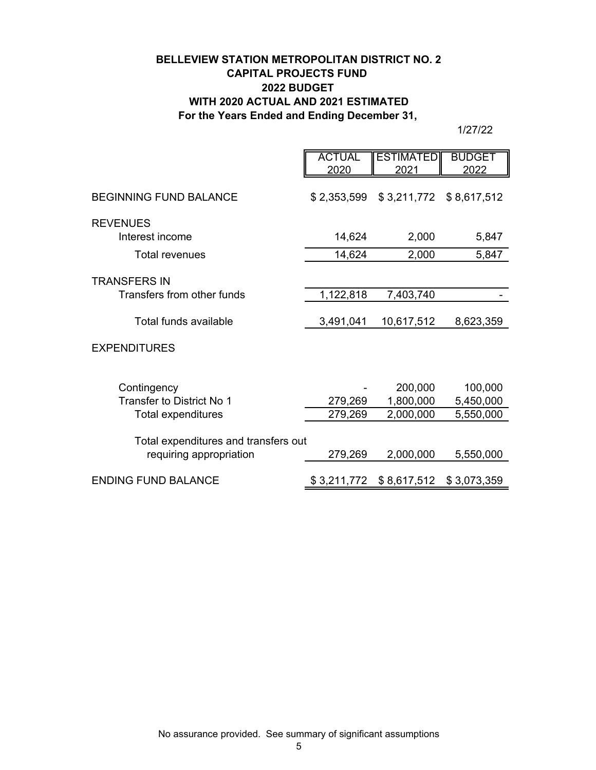# **BELLEVIEW STATION METROPOLITAN DISTRICT NO. 2 CAPITAL PROJECTS FUND 2022 BUDGET WITH 2020 ACTUAL AND 2021 ESTIMATED For the Years Ended and Ending December 31,**

|                                                                 | <b>ACTUAL</b><br>2020 | <b>ESTIMATED</b><br>2021 | <b>BUDGET</b><br>2022 |
|-----------------------------------------------------------------|-----------------------|--------------------------|-----------------------|
| <b>BEGINNING FUND BALANCE</b>                                   | \$2,353,599           | \$3,211,772 \$8,617,512  |                       |
| <b>REVENUES</b>                                                 |                       |                          |                       |
| Interest income                                                 | 14,624                | 2,000                    | 5,847                 |
| Total revenues                                                  | 14,624                | 2,000                    | 5,847                 |
| <b>TRANSFERS IN</b>                                             |                       |                          |                       |
| Transfers from other funds                                      | 1,122,818             | 7,403,740                |                       |
| Total funds available                                           | 3,491,041             | 10,617,512               | 8,623,359             |
| <b>EXPENDITURES</b>                                             |                       |                          |                       |
| Contingency                                                     |                       | 200,000                  | 100,000               |
| Transfer to District No 1                                       | 279,269               | 1,800,000                | 5,450,000             |
| <b>Total expenditures</b>                                       | 279,269               | 2,000,000                | 5,550,000             |
| Total expenditures and transfers out<br>requiring appropriation | 279,269               | 2,000,000                | 5,550,000             |
| <b>ENDING FUND BALANCE</b>                                      | \$3,211,772           | \$8,617,512              | \$3,073,359           |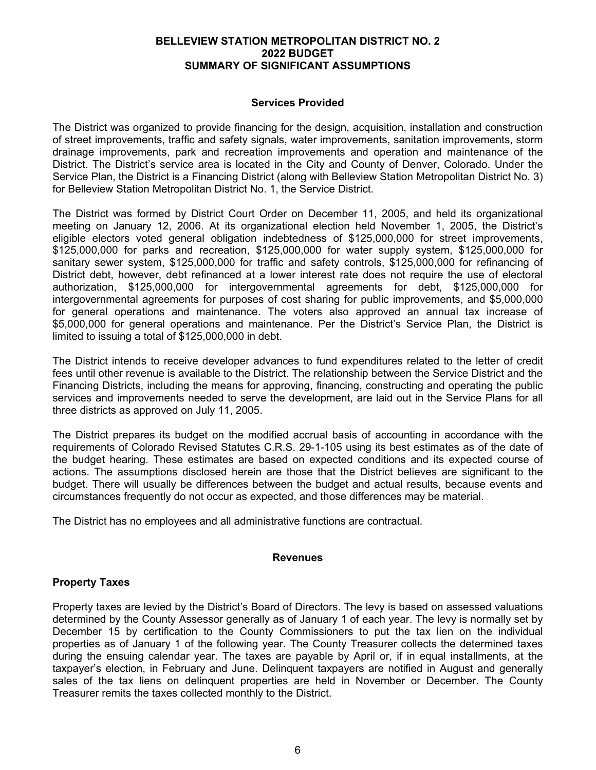#### **Services Provided**

The District was organized to provide financing for the design, acquisition, installation and construction of street improvements, traffic and safety signals, water improvements, sanitation improvements, storm drainage improvements, park and recreation improvements and operation and maintenance of the District. The District's service area is located in the City and County of Denver, Colorado. Under the Service Plan, the District is a Financing District (along with Belleview Station Metropolitan District No. 3) for Belleview Station Metropolitan District No. 1, the Service District.

The District was formed by District Court Order on December 11, 2005, and held its organizational meeting on January 12, 2006. At its organizational election held November 1, 2005, the District's eligible electors voted general obligation indebtedness of \$125,000,000 for street improvements, \$125,000,000 for parks and recreation, \$125,000,000 for water supply system, \$125,000,000 for sanitary sewer system, \$125,000,000 for traffic and safety controls, \$125,000,000 for refinancing of District debt, however, debt refinanced at a lower interest rate does not require the use of electoral authorization, \$125,000,000 for intergovernmental agreements for debt, \$125,000,000 for intergovernmental agreements for purposes of cost sharing for public improvements, and \$5,000,000 for general operations and maintenance. The voters also approved an annual tax increase of \$5,000,000 for general operations and maintenance. Per the District's Service Plan, the District is limited to issuing a total of \$125,000,000 in debt.

The District intends to receive developer advances to fund expenditures related to the letter of credit fees until other revenue is available to the District. The relationship between the Service District and the Financing Districts, including the means for approving, financing, constructing and operating the public services and improvements needed to serve the development, are laid out in the Service Plans for all three districts as approved on July 11, 2005.

The District prepares its budget on the modified accrual basis of accounting in accordance with the requirements of Colorado Revised Statutes C.R.S. 29-1-105 using its best estimates as of the date of the budget hearing. These estimates are based on expected conditions and its expected course of actions. The assumptions disclosed herein are those that the District believes are significant to the budget. There will usually be differences between the budget and actual results, because events and circumstances frequently do not occur as expected, and those differences may be material.

The District has no employees and all administrative functions are contractual.

#### **Revenues**

### **Property Taxes**

Property taxes are levied by the District's Board of Directors. The levy is based on assessed valuations determined by the County Assessor generally as of January 1 of each year. The levy is normally set by December 15 by certification to the County Commissioners to put the tax lien on the individual properties as of January 1 of the following year. The County Treasurer collects the determined taxes during the ensuing calendar year. The taxes are payable by April or, if in equal installments, at the taxpayer's election, in February and June. Delinquent taxpayers are notified in August and generally sales of the tax liens on delinquent properties are held in November or December. The County Treasurer remits the taxes collected monthly to the District.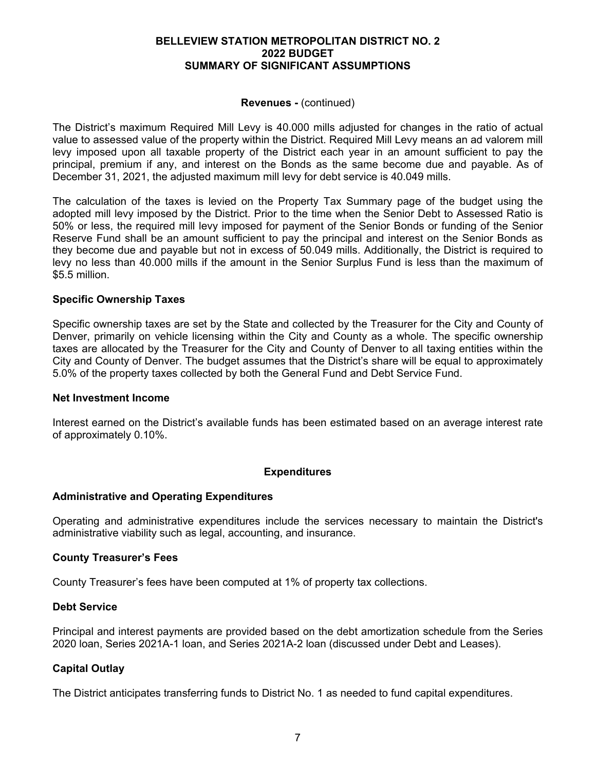#### **Revenues -** (continued)

The District's maximum Required Mill Levy is 40.000 mills adjusted for changes in the ratio of actual value to assessed value of the property within the District. Required Mill Levy means an ad valorem mill levy imposed upon all taxable property of the District each year in an amount sufficient to pay the principal, premium if any, and interest on the Bonds as the same become due and payable. As of December 31, 2021, the adjusted maximum mill levy for debt service is 40.049 mills.

The calculation of the taxes is levied on the Property Tax Summary page of the budget using the adopted mill levy imposed by the District. Prior to the time when the Senior Debt to Assessed Ratio is 50% or less, the required mill levy imposed for payment of the Senior Bonds or funding of the Senior Reserve Fund shall be an amount sufficient to pay the principal and interest on the Senior Bonds as they become due and payable but not in excess of 50.049 mills. Additionally, the District is required to levy no less than 40.000 mills if the amount in the Senior Surplus Fund is less than the maximum of \$5.5 million.

#### **Specific Ownership Taxes**

Specific ownership taxes are set by the State and collected by the Treasurer for the City and County of Denver, primarily on vehicle licensing within the City and County as a whole. The specific ownership taxes are allocated by the Treasurer for the City and County of Denver to all taxing entities within the City and County of Denver. The budget assumes that the District's share will be equal to approximately 5.0% of the property taxes collected by both the General Fund and Debt Service Fund.

#### **Net Investment Income**

Interest earned on the District's available funds has been estimated based on an average interest rate of approximately 0.10%.

#### **Expenditures**

#### **Administrative and Operating Expenditures**

Operating and administrative expenditures include the services necessary to maintain the District's administrative viability such as legal, accounting, and insurance.

#### **County Treasurer's Fees**

County Treasurer's fees have been computed at 1% of property tax collections.

#### **Debt Service**

Principal and interest payments are provided based on the debt amortization schedule from the Series 2020 loan, Series 2021A-1 loan, and Series 2021A-2 loan (discussed under Debt and Leases).

#### **Capital Outlay**

The District anticipates transferring funds to District No. 1 as needed to fund capital expenditures.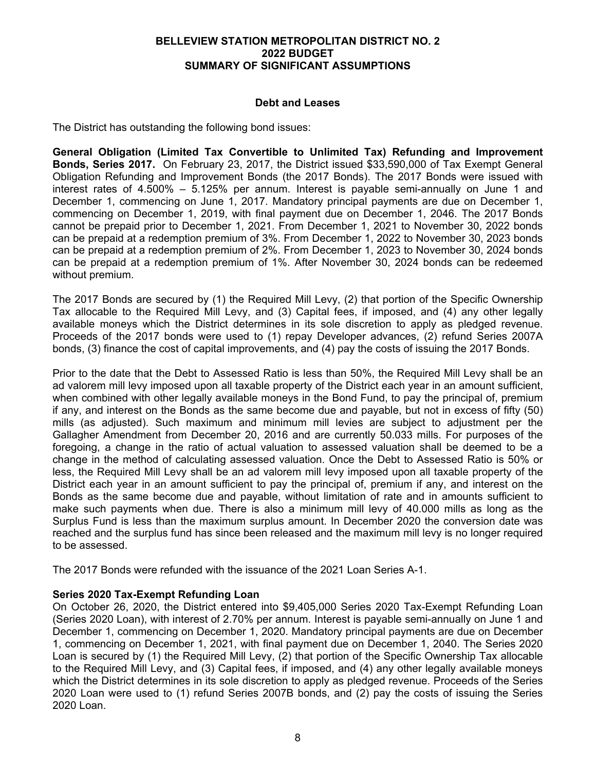#### **Debt and Leases**

The District has outstanding the following bond issues:

**General Obligation (Limited Tax Convertible to Unlimited Tax) Refunding and Improvement Bonds, Series 2017.** On February 23, 2017, the District issued \$33,590,000 of Tax Exempt General Obligation Refunding and Improvement Bonds (the 2017 Bonds). The 2017 Bonds were issued with interest rates of 4.500% – 5.125% per annum. Interest is payable semi-annually on June 1 and December 1, commencing on June 1, 2017. Mandatory principal payments are due on December 1, commencing on December 1, 2019, with final payment due on December 1, 2046. The 2017 Bonds cannot be prepaid prior to December 1, 2021. From December 1, 2021 to November 30, 2022 bonds can be prepaid at a redemption premium of 3%. From December 1, 2022 to November 30, 2023 bonds can be prepaid at a redemption premium of 2%. From December 1, 2023 to November 30, 2024 bonds can be prepaid at a redemption premium of 1%. After November 30, 2024 bonds can be redeemed without premium.

The 2017 Bonds are secured by (1) the Required Mill Levy, (2) that portion of the Specific Ownership Tax allocable to the Required Mill Levy, and (3) Capital fees, if imposed, and (4) any other legally available moneys which the District determines in its sole discretion to apply as pledged revenue. Proceeds of the 2017 bonds were used to (1) repay Developer advances, (2) refund Series 2007A bonds, (3) finance the cost of capital improvements, and (4) pay the costs of issuing the 2017 Bonds.

Prior to the date that the Debt to Assessed Ratio is less than 50%, the Required Mill Levy shall be an ad valorem mill levy imposed upon all taxable property of the District each year in an amount sufficient, when combined with other legally available moneys in the Bond Fund, to pay the principal of, premium if any, and interest on the Bonds as the same become due and payable, but not in excess of fifty (50) mills (as adjusted). Such maximum and minimum mill levies are subject to adjustment per the Gallagher Amendment from December 20, 2016 and are currently 50.033 mills. For purposes of the foregoing, a change in the ratio of actual valuation to assessed valuation shall be deemed to be a change in the method of calculating assessed valuation. Once the Debt to Assessed Ratio is 50% or less, the Required Mill Levy shall be an ad valorem mill levy imposed upon all taxable property of the District each year in an amount sufficient to pay the principal of, premium if any, and interest on the Bonds as the same become due and payable, without limitation of rate and in amounts sufficient to make such payments when due. There is also a minimum mill levy of 40.000 mills as long as the Surplus Fund is less than the maximum surplus amount. In December 2020 the conversion date was reached and the surplus fund has since been released and the maximum mill levy is no longer required to be assessed.

The 2017 Bonds were refunded with the issuance of the 2021 Loan Series A-1.

#### **Series 2020 Tax-Exempt Refunding Loan**

On October 26, 2020, the District entered into \$9,405,000 Series 2020 Tax-Exempt Refunding Loan (Series 2020 Loan), with interest of 2.70% per annum. Interest is payable semi-annually on June 1 and December 1, commencing on December 1, 2020. Mandatory principal payments are due on December 1, commencing on December 1, 2021, with final payment due on December 1, 2040. The Series 2020 Loan is secured by (1) the Required Mill Levy, (2) that portion of the Specific Ownership Tax allocable to the Required Mill Levy, and (3) Capital fees, if imposed, and (4) any other legally available moneys which the District determines in its sole discretion to apply as pledged revenue. Proceeds of the Series 2020 Loan were used to (1) refund Series 2007B bonds, and (2) pay the costs of issuing the Series 2020 Loan.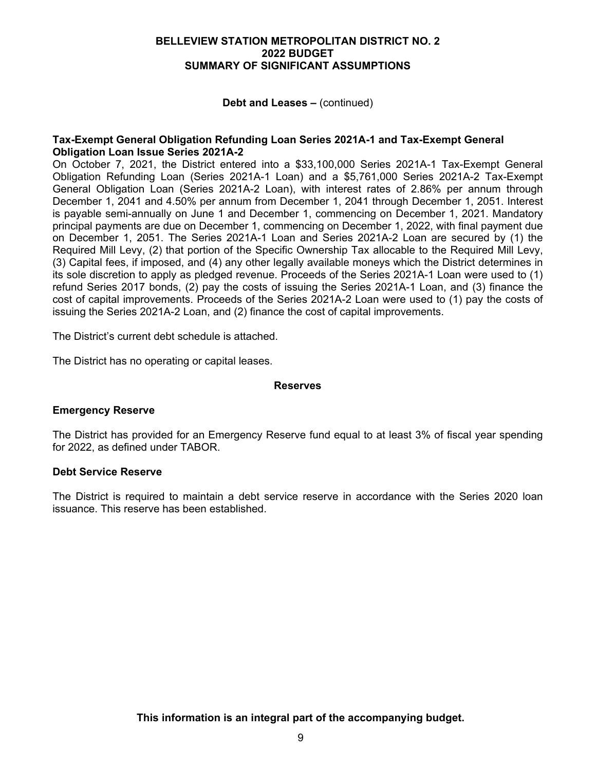**Debt and Leases –** (continued)

#### **Tax-Exempt General Obligation Refunding Loan Series 2021A-1 and Tax-Exempt General Obligation Loan Issue Series 2021A-2**

On October 7, 2021, the District entered into a \$33,100,000 Series 2021A-1 Tax-Exempt General Obligation Refunding Loan (Series 2021A-1 Loan) and a \$5,761,000 Series 2021A-2 Tax-Exempt General Obligation Loan (Series 2021A-2 Loan), with interest rates of 2.86% per annum through December 1, 2041 and 4.50% per annum from December 1, 2041 through December 1, 2051. Interest is payable semi-annually on June 1 and December 1, commencing on December 1, 2021. Mandatory principal payments are due on December 1, commencing on December 1, 2022, with final payment due on December 1, 2051. The Series 2021A-1 Loan and Series 2021A-2 Loan are secured by (1) the Required Mill Levy, (2) that portion of the Specific Ownership Tax allocable to the Required Mill Levy, (3) Capital fees, if imposed, and (4) any other legally available moneys which the District determines in its sole discretion to apply as pledged revenue. Proceeds of the Series 2021A-1 Loan were used to (1) refund Series 2017 bonds, (2) pay the costs of issuing the Series 2021A-1 Loan, and (3) finance the cost of capital improvements. Proceeds of the Series 2021A-2 Loan were used to (1) pay the costs of issuing the Series 2021A-2 Loan, and (2) finance the cost of capital improvements.

The District's current debt schedule is attached.

The District has no operating or capital leases.

#### **Reserves**

#### **Emergency Reserve**

The District has provided for an Emergency Reserve fund equal to at least 3% of fiscal year spending for 2022, as defined under TABOR.

#### **Debt Service Reserve**

The District is required to maintain a debt service reserve in accordance with the Series 2020 loan issuance. This reserve has been established.

**This information is an integral part of the accompanying budget.**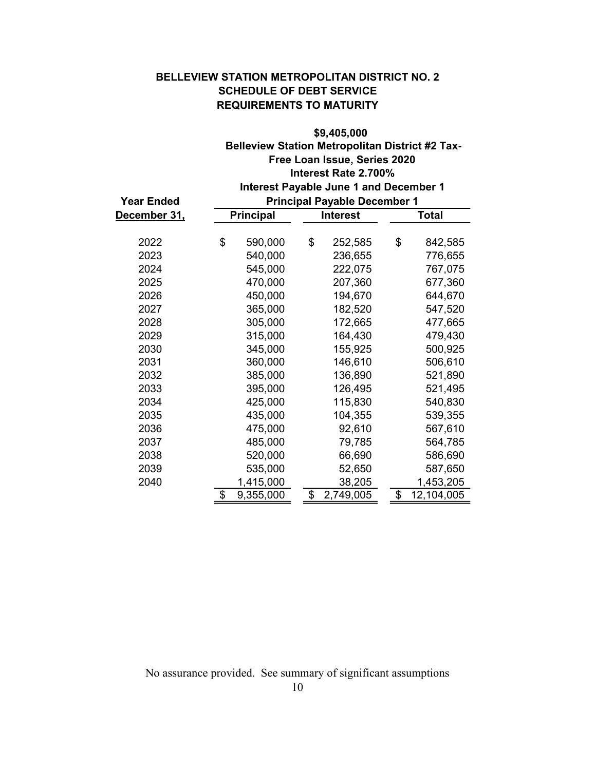# BELLEVIEW STATION METROPOLITAN DISTRICT NO. 2 SCHEDULE OF DEBT SERVICE REQUIREMENTS TO MATURITY

| <b>Year Ended</b><br><u>December 31,</u> | \$9,405,000<br><b>Belleview Station Metropolitan District #2 Tax-</b><br>Free Loan Issue, Series 2020<br>Interest Rate 2.700%<br>Interest Payable June 1 and December 1<br><b>Principal Payable December 1</b> |           |    |                 |    |              |
|------------------------------------------|----------------------------------------------------------------------------------------------------------------------------------------------------------------------------------------------------------------|-----------|----|-----------------|----|--------------|
|                                          |                                                                                                                                                                                                                | Principal |    | <b>Interest</b> |    | <b>Total</b> |
| 2022                                     | \$                                                                                                                                                                                                             | 590,000   | \$ | 252,585         | \$ | 842,585      |
| 2023                                     |                                                                                                                                                                                                                | 540,000   |    | 236,655         |    | 776,655      |
| 2024                                     |                                                                                                                                                                                                                | 545,000   |    | 222,075         |    | 767,075      |
| 2025                                     |                                                                                                                                                                                                                | 470,000   |    | 207,360         |    | 677,360      |
| 2026                                     |                                                                                                                                                                                                                | 450,000   |    | 194,670         |    | 644,670      |
| 2027                                     |                                                                                                                                                                                                                | 365,000   |    | 182,520         |    | 547,520      |
| 2028                                     |                                                                                                                                                                                                                | 305,000   |    | 172,665         |    | 477,665      |
| 2029                                     |                                                                                                                                                                                                                | 315,000   |    | 164,430         |    | 479,430      |
| 2030                                     |                                                                                                                                                                                                                | 345,000   |    | 155,925         |    | 500,925      |
| 2031                                     |                                                                                                                                                                                                                | 360,000   |    | 146,610         |    | 506,610      |
| 2032                                     |                                                                                                                                                                                                                | 385,000   |    | 136,890         |    | 521,890      |
| 2033                                     |                                                                                                                                                                                                                | 395,000   |    | 126,495         |    | 521,495      |
| 2034                                     |                                                                                                                                                                                                                | 425,000   |    | 115,830         |    | 540,830      |
| 2035                                     |                                                                                                                                                                                                                | 435,000   |    | 104,355         |    | 539,355      |
| 2036                                     |                                                                                                                                                                                                                | 475,000   |    | 92,610          |    | 567,610      |
| 2037                                     |                                                                                                                                                                                                                | 485,000   |    | 79,785          |    | 564,785      |
| 2038                                     |                                                                                                                                                                                                                | 520,000   |    | 66,690          |    | 586,690      |
| 2039                                     |                                                                                                                                                                                                                | 535,000   |    | 52,650          |    | 587,650      |
| 2040                                     |                                                                                                                                                                                                                | 1,415,000 |    | 38,205          |    | 1,453,205    |
|                                          | \$                                                                                                                                                                                                             | 9,355,000 | \$ | 2,749,005       | \$ | 12,104,005   |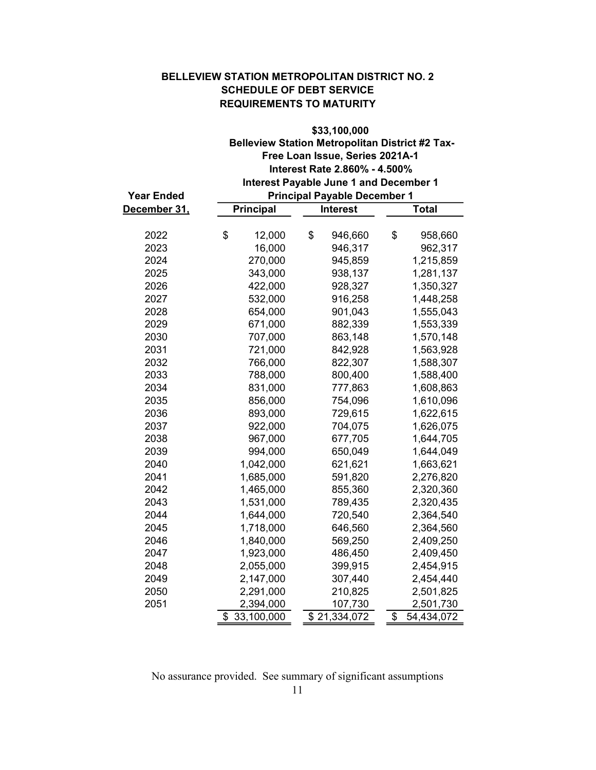### BELLEVIEW STATION METROPOLITAN DISTRICT NO. 2 SCHEDULE OF DEBT SERVICE REQUIREMENTS TO MATURITY

|                     | \$33,100,000                                           |                                               |                  |  |  |  |  |
|---------------------|--------------------------------------------------------|-----------------------------------------------|------------------|--|--|--|--|
|                     | <b>Belleview Station Metropolitan District #2 Tax-</b> |                                               |                  |  |  |  |  |
|                     |                                                        | Free Loan Issue, Series 2021A-1               |                  |  |  |  |  |
|                     |                                                        | Interest Rate 2.860% - 4.500%                 |                  |  |  |  |  |
|                     |                                                        | <b>Interest Payable June 1 and December 1</b> |                  |  |  |  |  |
| <b>Year Ended</b>   |                                                        | <b>Principal Payable December 1</b>           |                  |  |  |  |  |
| <u>December 31,</u> | <b>Principal</b>                                       | <b>Interest</b>                               | <b>Total</b>     |  |  |  |  |
|                     |                                                        |                                               |                  |  |  |  |  |
| 2022                | \$<br>12,000                                           | \$<br>946,660                                 | \$<br>958,660    |  |  |  |  |
| 2023                | 16,000                                                 | 946,317                                       | 962,317          |  |  |  |  |
| 2024                | 270,000                                                | 945,859                                       | 1,215,859        |  |  |  |  |
| 2025                | 343,000                                                | 938,137                                       | 1,281,137        |  |  |  |  |
| 2026                | 422,000                                                | 928,327                                       | 1,350,327        |  |  |  |  |
| 2027                | 532,000                                                | 916,258                                       | 1,448,258        |  |  |  |  |
| 2028                | 654,000                                                | 901,043                                       | 1,555,043        |  |  |  |  |
| 2029                | 671,000                                                | 882,339                                       | 1,553,339        |  |  |  |  |
| 2030                | 707,000                                                | 863,148                                       | 1,570,148        |  |  |  |  |
| 2031                | 721,000                                                | 842,928                                       | 1,563,928        |  |  |  |  |
| 2032                | 766,000                                                | 822,307                                       | 1,588,307        |  |  |  |  |
| 2033                | 788,000                                                | 800,400                                       | 1,588,400        |  |  |  |  |
| 2034                | 831,000                                                | 777,863                                       | 1,608,863        |  |  |  |  |
| 2035                | 856,000                                                | 754,096                                       | 1,610,096        |  |  |  |  |
| 2036                | 893,000                                                | 729,615                                       | 1,622,615        |  |  |  |  |
| 2037                | 922,000                                                | 704,075                                       | 1,626,075        |  |  |  |  |
| 2038                | 967,000                                                | 677,705                                       | 1,644,705        |  |  |  |  |
| 2039                | 994,000                                                | 650,049                                       | 1,644,049        |  |  |  |  |
| 2040                | 1,042,000                                              | 621,621                                       | 1,663,621        |  |  |  |  |
| 2041                | 1,685,000                                              | 591,820                                       | 2,276,820        |  |  |  |  |
| 2042                | 1,465,000                                              | 855,360                                       | 2,320,360        |  |  |  |  |
| 2043                | 1,531,000                                              | 789,435                                       | 2,320,435        |  |  |  |  |
| 2044                | 1,644,000                                              | 720,540                                       | 2,364,540        |  |  |  |  |
| 2045                | 1,718,000                                              | 646,560                                       | 2,364,560        |  |  |  |  |
| 2046                | 1,840,000                                              | 569,250                                       | 2,409,250        |  |  |  |  |
| 2047                | 1,923,000                                              | 486,450                                       | 2,409,450        |  |  |  |  |
| 2048                | 2,055,000                                              | 399,915                                       | 2,454,915        |  |  |  |  |
| 2049                | 2,147,000                                              | 307,440                                       | 2,454,440        |  |  |  |  |
| 2050                | 2,291,000                                              | 210,825                                       | 2,501,825        |  |  |  |  |
| 2051                | 2,394,000                                              | 107,730                                       | 2,501,730        |  |  |  |  |
|                     | 33,100,000<br>\$                                       | \$21,334,072                                  | \$<br>54,434,072 |  |  |  |  |